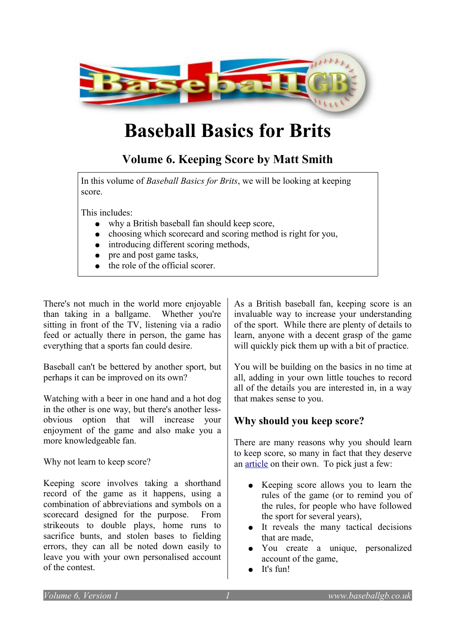

## **Baseball Basics for Brits**

## **Volume 6. Keeping Score by Matt Smith**

In this volume of *Baseball Basics for Brits*, we will be looking at keeping score.

This includes:

- why a British baseball fan should keep score,
- choosing which scorecard and scoring method is right for you,
- introducing different scoring methods,
- pre and post game tasks,
- the role of the official scorer.

There's not much in the world more enjoyable than taking in a ballgame. Whether you're sitting in front of the TV, listening via a radio feed or actually there in person, the game has everything that a sports fan could desire.

Baseball can't be bettered by another sport, but perhaps it can be improved on its own?

Watching with a beer in one hand and a hot dog in the other is one way, but there's another lessobvious option that will increase your enjoyment of the game and also make you a more knowledgeable fan.

Why not learn to keep score?

Keeping score involves taking a shorthand record of the game as it happens, using a combination of abbreviations and symbols on a scorecard designed for the purpose. From strikeouts to double plays, home runs to sacrifice bunts, and stolen bases to fielding errors, they can all be noted down easily to leave you with your own personalised account of the contest.

As a British baseball fan, keeping score is an invaluable way to increase your understanding of the sport. While there are plenty of details to learn, anyone with a decent grasp of the game will quickly pick them up with a bit of practice.

You will be building on the basics in no time at all, adding in your own little touches to record all of the details you are interested in, in a way that makes sense to you.

## **Why should you keep score?**

There are many reasons why you should learn to keep score, so many in fact that they deserve an [article](http://www.baseballgb.co.uk/?p=1913) on their own. To pick just a few:

- Keeping score allows you to learn the rules of the game (or to remind you of the rules, for people who have followed the sport for several years),
- It reveals the many tactical decisions that are made,
- You create a unique, personalized account of the game,
- It's fun!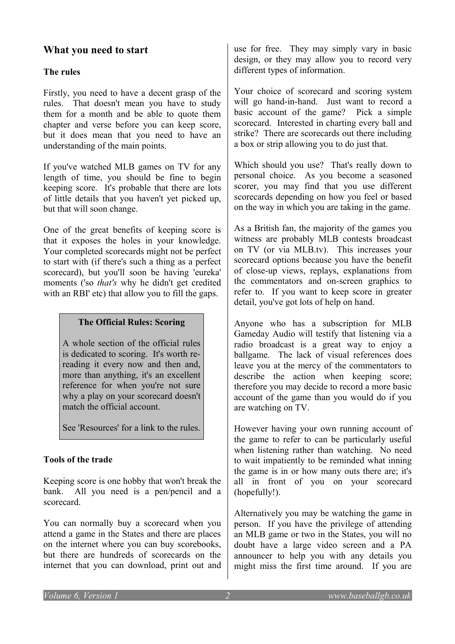## **What you need to start**

#### **The rules**

Firstly, you need to have a decent grasp of the rules. That doesn't mean you have to study them for a month and be able to quote them chapter and verse before you can keep score, but it does mean that you need to have an understanding of the main points.

If you've watched MLB games on TV for any length of time, you should be fine to begin keeping score. It's probable that there are lots of little details that you haven't yet picked up, but that will soon change.

One of the great benefits of keeping score is that it exposes the holes in your knowledge. Your completed scorecards might not be perfect to start with (if there's such a thing as a perfect scorecard), but you'll soon be having 'eureka' moments ('so *that's* why he didn't get credited with an RBI' etc) that allow you to fill the gaps.

#### **The Official Rules: Scoring**

A whole section of the official rules is dedicated to scoring. It's worth rereading it every now and then and, more than anything, it's an excellent reference for when you're not sure why a play on your scorecard doesn't match the official account.

See 'Resources' for a link to the rules.

#### **Tools of the trade**

Keeping score is one hobby that won't break the bank. All you need is a pen/pencil and a scorecard.

You can normally buy a scorecard when you attend a game in the States and there are places on the internet where you can buy scorebooks, but there are hundreds of scorecards on the internet that you can download, print out and use for free. They may simply vary in basic design, or they may allow you to record very different types of information.

Your choice of scorecard and scoring system will go hand-in-hand. Just want to record a basic account of the game? Pick a simple scorecard. Interested in charting every ball and strike? There are scorecards out there including a box or strip allowing you to do just that.

Which should you use? That's really down to personal choice. As you become a seasoned scorer, you may find that you use different scorecards depending on how you feel or based on the way in which you are taking in the game.

As a British fan, the majority of the games you witness are probably MLB contests broadcast on TV (or via MLB.tv). This increases your scorecard options because you have the benefit of close-up views, replays, explanations from the commentators and on-screen graphics to refer to. If you want to keep score in greater detail, you've got lots of help on hand.

Anyone who has a subscription for MLB Gameday Audio will testify that listening via a radio broadcast is a great way to enjoy a ballgame. The lack of visual references does leave you at the mercy of the commentators to describe the action when keeping score; therefore you may decide to record a more basic account of the game than you would do if you are watching on TV.

However having your own running account of the game to refer to can be particularly useful when listening rather than watching. No need to wait impatiently to be reminded what inning the game is in or how many outs there are; it's all in front of you on your scorecard (hopefully!).

Alternatively you may be watching the game in person. If you have the privilege of attending an MLB game or two in the States, you will no doubt have a large video screen and a PA announcer to help you with any details you might miss the first time around. If you are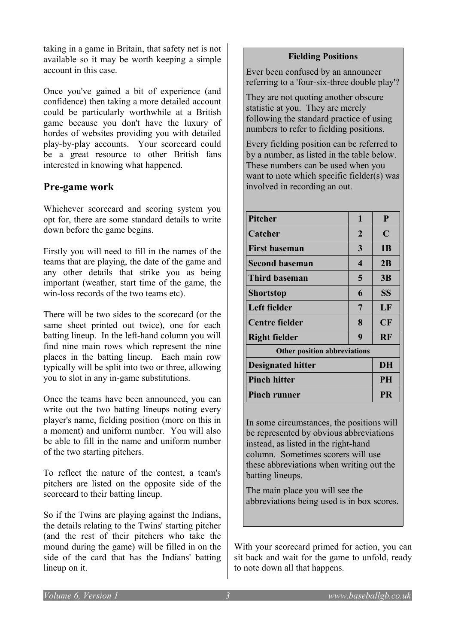taking in a game in Britain, that safety net is not available so it may be worth keeping a simple account in this case.

Once you've gained a bit of experience (and confidence) then taking a more detailed account could be particularly worthwhile at a British game because you don't have the luxury of hordes of websites providing you with detailed play-by-play accounts. Your scorecard could be a great resource to other British fans interested in knowing what happened.

## **Pre-game work**

Whichever scorecard and scoring system you opt for, there are some standard details to write down before the game begins.

Firstly you will need to fill in the names of the teams that are playing, the date of the game and any other details that strike you as being important (weather, start time of the game, the win-loss records of the two teams etc).

There will be two sides to the scorecard (or the same sheet printed out twice), one for each batting lineup. In the left-hand column you will find nine main rows which represent the nine places in the batting lineup. Each main row typically will be split into two or three, allowing you to slot in any in-game substitutions.

Once the teams have been announced, you can write out the two batting lineups noting every player's name, fielding position (more on this in a moment) and uniform number. You will also be able to fill in the name and uniform number of the two starting pitchers.

To reflect the nature of the contest, a team's pitchers are listed on the opposite side of the scorecard to their batting lineup.

So if the Twins are playing against the Indians, the details relating to the Twins' starting pitcher (and the rest of their pitchers who take the mound during the game) will be filled in on the side of the card that has the Indians' batting lineup on it.

#### **Fielding Positions**

Ever been confused by an announcer referring to a 'four-six-three double play'?

They are not quoting another obscure statistic at you. They are merely following the standard practice of using numbers to refer to fielding positions.

Every fielding position can be referred to by a number, as listed in the table below. These numbers can be used when you want to note which specific fielder(s) was involved in recording an out.

| Pitcher                             | 1                | P           |
|-------------------------------------|------------------|-------------|
| Catcher                             | $\mathbf{2}$     | $\mathbf C$ |
| <b>First baseman</b>                | 3                | <b>1B</b>   |
| <b>Second baseman</b>               | $\boldsymbol{4}$ | 2B          |
| <b>Third baseman</b>                | 5                | 3B          |
| Shortstop                           | 6                | <b>SS</b>   |
| Left fielder                        | 7                | LF          |
| Centre fielder                      | 8                | CF          |
| <b>Right fielder</b>                | 9                | <b>RF</b>   |
| <b>Other position abbreviations</b> |                  |             |
| <b>Designated hitter</b>            |                  | DH          |
| <b>Pinch hitter</b>                 |                  | <b>PH</b>   |
| <b>Pinch runner</b>                 |                  | <b>PR</b>   |

In some circumstances, the positions will be represented by obvious abbreviations instead, as listed in the right-hand column. Sometimes scorers will use these abbreviations when writing out the batting lineups.

The main place you will see the abbreviations being used is in box scores.

With your scorecard primed for action, you can sit back and wait for the game to unfold, ready to note down all that happens.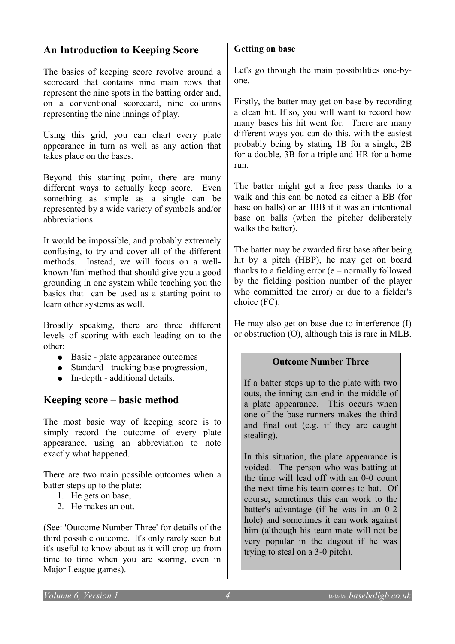## **An Introduction to Keeping Score**

The basics of keeping score revolve around a scorecard that contains nine main rows that represent the nine spots in the batting order and, on a conventional scorecard, nine columns representing the nine innings of play.

Using this grid, you can chart every plate appearance in turn as well as any action that takes place on the bases.

Beyond this starting point, there are many different ways to actually keep score. Even something as simple as a single can be represented by a wide variety of symbols and/or abbreviations.

It would be impossible, and probably extremely confusing, to try and cover all of the different methods. Instead, we will focus on a wellknown 'fan' method that should give you a good grounding in one system while teaching you the basics that can be used as a starting point to learn other systems as well.

Broadly speaking, there are three different levels of scoring with each leading on to the other:

- Basic plate appearance outcomes
- Standard tracking base progression,
- In-depth additional details.

## **Keeping score – basic method**

The most basic way of keeping score is to simply record the outcome of every plate appearance, using an abbreviation to note exactly what happened.

There are two main possible outcomes when a batter steps up to the plate:

- 1. He gets on base,
- 2. He makes an out.

(See: 'Outcome Number Three' for details of the third possible outcome. It's only rarely seen but it's useful to know about as it will crop up from time to time when you are scoring, even in Major League games).

#### **Getting on base**

Let's go through the main possibilities one-byone.

Firstly, the batter may get on base by recording a clean hit. If so, you will want to record how many bases his hit went for. There are many different ways you can do this, with the easiest probably being by stating 1B for a single, 2B for a double, 3B for a triple and HR for a home run.

The batter might get a free pass thanks to a walk and this can be noted as either a BB (for base on balls) or an IBB if it was an intentional base on balls (when the pitcher deliberately walks the batter).

The batter may be awarded first base after being hit by a pitch (HBP), he may get on board thanks to a fielding error (e – normally followed by the fielding position number of the player who committed the error) or due to a fielder's choice (FC).

He may also get on base due to interference (I) or obstruction (O), although this is rare in MLB.

#### **Outcome Number Three**

If a batter steps up to the plate with two outs, the inning can end in the middle of a plate appearance. This occurs when one of the base runners makes the third and final out (e.g. if they are caught stealing).

In this situation, the plate appearance is voided. The person who was batting at the time will lead off with an 0-0 count the next time his team comes to bat. Of course, sometimes this can work to the batter's advantage (if he was in an 0-2 hole) and sometimes it can work against him (although his team mate will not be very popular in the dugout if he was trying to steal on a 3-0 pitch).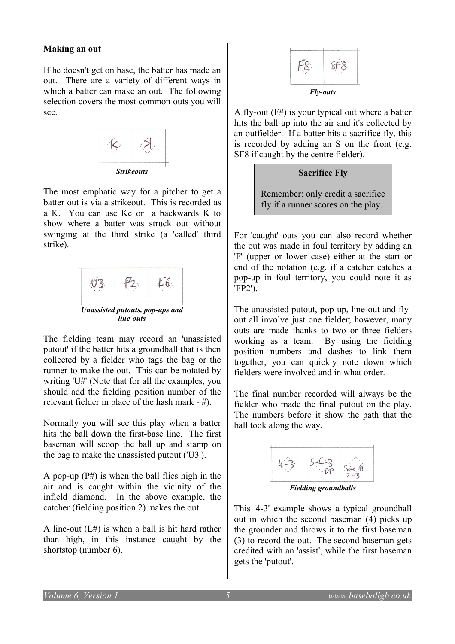#### **Making an out**

If he doesn't get on base, the batter has made an out. There are a variety of different ways in which a batter can make an out. The following selection covers the most common outs you will see.



The most emphatic way for a pitcher to get a batter out is via a strikeout. This is recorded as a K. You can use Kc or a backwards K to show where a batter was struck out without swinging at the third strike (a 'called' third strike).



The fielding team may record an 'unassisted putout' if the batter hits a groundball that is then collected by a fielder who tags the bag or the runner to make the out. This can be notated by writing 'U#' (Note that for all the examples, you should add the fielding position number of the relevant fielder in place of the hash mark - #).

Normally you will see this play when a batter hits the ball down the first-base line. The first baseman will scoop the ball up and stamp on the bag to make the unassisted putout ('U3').

A pop-up  $(P#)$  is when the ball flies high in the air and is caught within the vicinity of the infield diamond. In the above example, the catcher (fielding position 2) makes the out.

A line-out  $(L#)$  is when a ball is hit hard rather than high, in this instance caught by the shortstop (number 6).



A fly-out (F#) is your typical out where a batter hits the ball up into the air and it's collected by an outfielder. If a batter hits a sacrifice fly, this is recorded by adding an S on the front (e.g. SF8 if caught by the centre fielder).

#### **Sacrifice Fly**

Remember: only credit a sacrifice fly if a runner scores on the play.

For 'caught' outs you can also record whether the out was made in foul territory by adding an 'F' (upper or lower case) either at the start or end of the notation (e.g. if a catcher catches a pop-up in foul territory, you could note it as 'FP2').

The unassisted putout, pop-up, line-out and flyout all involve just one fielder; however, many outs are made thanks to two or three fielders working as a team. By using the fielding position numbers and dashes to link them together, you can quickly note down which fielders were involved and in what order.

The final number recorded will always be the fielder who made the final putout on the play. The numbers before it show the path that the ball took along the way.



*Fielding groundballs*

This '4-3' example shows a typical groundball out in which the second baseman (4) picks up the grounder and throws it to the first baseman (3) to record the out. The second baseman gets credited with an 'assist', while the first baseman gets the 'putout'.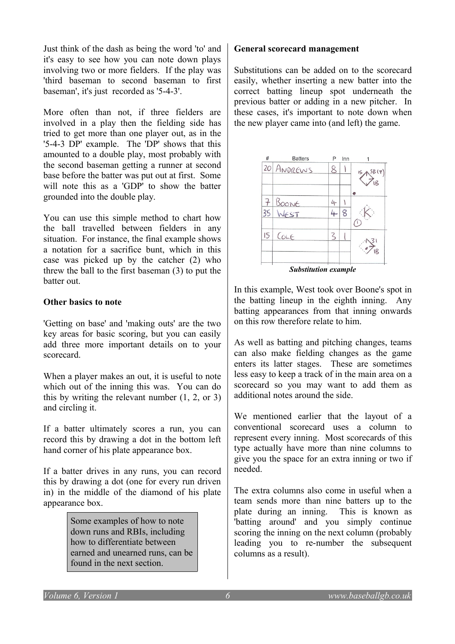Just think of the dash as being the word 'to' and it's easy to see how you can note down plays involving two or more fielders. If the play was 'third baseman to second baseman to first baseman', it's just recorded as '5-4-3'.

More often than not, if three fielders are involved in a play then the fielding side has tried to get more than one player out, as in the '5-4-3 DP' example. The 'DP' shows that this amounted to a double play, most probably with the second baseman getting a runner at second base before the batter was put out at first. Some will note this as a 'GDP' to show the batter grounded into the double play.

You can use this simple method to chart how the ball travelled between fielders in any situation. For instance, the final example shows a notation for a sacrifice bunt, which in this case was picked up by the catcher (2) who threw the ball to the first baseman (3) to put the batter out.

#### **Other basics to note**

'Getting on base' and 'making outs' are the two key areas for basic scoring, but you can easily add three more important details on to your scorecard.

When a player makes an out, it is useful to note which out of the inning this was. You can do this by writing the relevant number (1, 2, or 3) and circling it.

If a batter ultimately scores a run, you can record this by drawing a dot in the bottom left hand corner of his plate appearance box.

If a batter drives in any runs, you can record this by drawing a dot (one for every run driven in) in the middle of the diamond of his plate appearance box.

> Some examples of how to note down runs and RBIs, including how to differentiate between earned and unearned runs, can be found in the next section.

#### **General scorecard management**

Substitutions can be added on to the scorecard easily, whether inserting a new batter into the correct batting lineup spot underneath the previous batter or adding in a new pitcher. In these cases, it's important to note down when the new player came into (and left) the game.



In this example, West took over Boone's spot in the batting lineup in the eighth inning. Any batting appearances from that inning onwards on this row therefore relate to him.

As well as batting and pitching changes, teams can also make fielding changes as the game enters its latter stages. These are sometimes less easy to keep a track of in the main area on a scorecard so you may want to add them as additional notes around the side.

We mentioned earlier that the layout of a conventional scorecard uses a column to represent every inning. Most scorecards of this type actually have more than nine columns to give you the space for an extra inning or two if needed.

The extra columns also come in useful when a team sends more than nine batters up to the plate during an inning. This is known as 'batting around' and you simply continue scoring the inning on the next column (probably leading you to re-number the subsequent columns as a result).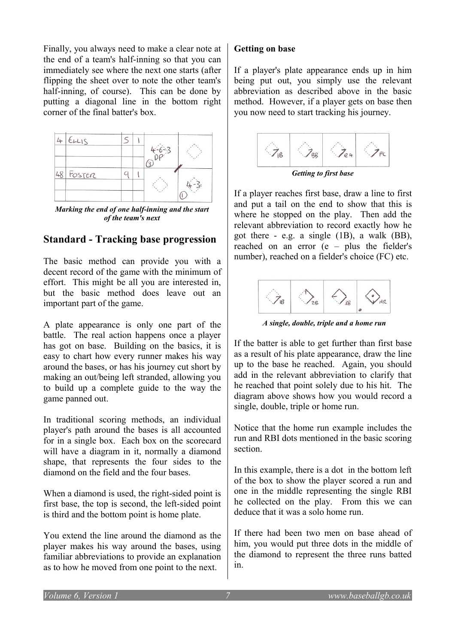Finally, you always need to make a clear note at the end of a team's half-inning so that you can immediately see where the next one starts (after flipping the sheet over to note the other team's half-inning, of course). This can be done by putting a diagonal line in the bottom right corner of the final batter's box.



*Marking the end of one half-inning and the start of the team's next*

#### **Standard - Tracking base progression**

The basic method can provide you with a decent record of the game with the minimum of effort. This might be all you are interested in, but the basic method does leave out an important part of the game.

A plate appearance is only one part of the battle. The real action happens once a player has got on base. Building on the basics, it is easy to chart how every runner makes his way around the bases, or has his journey cut short by making an out/being left stranded, allowing you to build up a complete guide to the way the game panned out.

In traditional scoring methods, an individual player's path around the bases is all accounted for in a single box. Each box on the scorecard will have a diagram in it, normally a diamond shape, that represents the four sides to the diamond on the field and the four bases.

When a diamond is used, the right-sided point is first base, the top is second, the left-sided point is third and the bottom point is home plate.

You extend the line around the diamond as the player makes his way around the bases, using familiar abbreviations to provide an explanation as to how he moved from one point to the next.

#### **Getting on base**

If a player's plate appearance ends up in him being put out, you simply use the relevant abbreviation as described above in the basic method. However, if a player gets on base then you now need to start tracking his journey.



*Getting to first base*

If a player reaches first base, draw a line to first and put a tail on the end to show that this is where he stopped on the play. Then add the relevant abbreviation to record exactly how he got there - e.g. a single (1B), a walk (BB), reached on an error (e – plus the fielder's number), reached on a fielder's choice (FC) etc.



*A single, double, triple and a home run*

If the batter is able to get further than first base as a result of his plate appearance, draw the line up to the base he reached. Again, you should add in the relevant abbreviation to clarify that he reached that point solely due to his hit. The diagram above shows how you would record a single, double, triple or home run.

Notice that the home run example includes the run and RBI dots mentioned in the basic scoring section.

In this example, there is a dot in the bottom left of the box to show the player scored a run and one in the middle representing the single RBI he collected on the play. From this we can deduce that it was a solo home run.

If there had been two men on base ahead of him, you would put three dots in the middle of the diamond to represent the three runs batted in.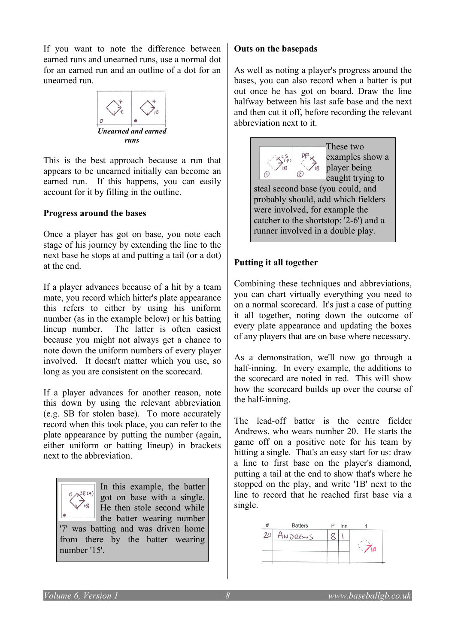If you want to note the difference between earned runs and unearned runs, use a normal dot for an earned run and an outline of a dot for an unearned run.



This is the best approach because a run that appears to be unearned initially can become an earned run. If this happens, you can easily account for it by filling in the outline.

#### **Progress around the bases**

Once a player has got on base, you note each stage of his journey by extending the line to the next base he stops at and putting a tail (or a dot) at the end.

If a player advances because of a hit by a team mate, you record which hitter's plate appearance this refers to either by using his uniform number (as in the example below) or his batting lineup number. The latter is often easiest because you might not always get a chance to note down the uniform numbers of every player involved. It doesn't matter which you use, so long as you are consistent on the scorecard.

If a player advances for another reason, note this down by using the relevant abbreviation (e.g. SB for stolen base). To more accurately record when this took place, you can refer to the plate appearance by putting the number (again, either uniform or batting lineup) in brackets next to the abbreviation.

In this example, the batter got on base with a single. He then stole second while the batter wearing number '7' was batting and was driven home from there by the batter wearing number '15'.

### **Outs on the basepads**

As well as noting a player's progress around the bases, you can also record when a batter is put out once he has got on board. Draw the line halfway between his last safe base and the next and then cut it off, before recording the relevant abbreviation next to it.



probably should, add which fielders were involved, for example the catcher to the shortstop: '2-6') and a runner involved in a double play.

## **Putting it all together**

Combining these techniques and abbreviations, you can chart virtually everything you need to on a normal scorecard. It's just a case of putting it all together, noting down the outcome of every plate appearance and updating the boxes of any players that are on base where necessary.

As a demonstration, we'll now go through a half-inning. In every example, the additions to the scorecard are noted in red. This will show how the scorecard builds up over the course of the half-inning.

The lead-off batter is the centre fielder Andrews, who wears number 20. He starts the game off on a positive note for his team by hitting a single. That's an easy start for us: draw a line to first base on the player's diamond, putting a tail at the end to show that's where he stopped on the play, and write '1B' next to the line to record that he reached first base via a single.

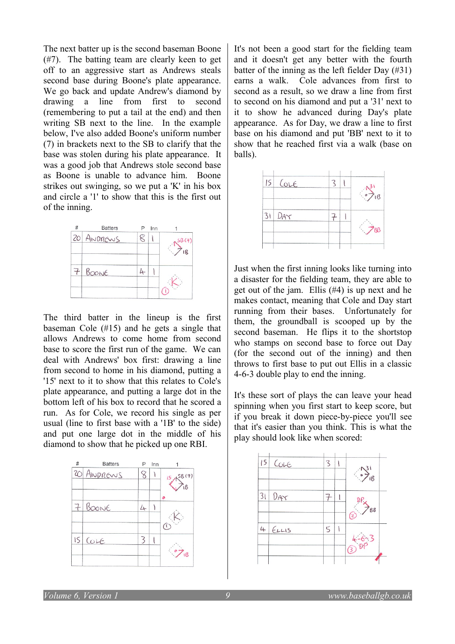The next batter up is the second baseman Boone (#7). The batting team are clearly keen to get off to an aggressive start as Andrews steals second base during Boone's plate appearance. We go back and update Andrew's diamond by drawing a line from first to second (remembering to put a tail at the end) and then writing SB next to the line. In the example below, I've also added Boone's uniform number (7) in brackets next to the SB to clarify that the base was stolen during his plate appearance. It was a good job that Andrews stole second base as Boone is unable to advance him. Boone strikes out swinging, so we put a 'K' in his box and circle a '1' to show that this is the first out of the inning.



The third batter in the lineup is the first baseman Cole (#15) and he gets a single that allows Andrews to come home from second base to score the first run of the game. We can deal with Andrews' box first: drawing a line from second to home in his diamond, putting a '15' next to it to show that this relates to Cole's plate appearance, and putting a large dot in the bottom left of his box to record that he scored a run. As for Cole, we record his single as per usual (line to first base with a '1B' to the side) and put one large dot in the middle of his diamond to show that he picked up one RBI.



It's not been a good start for the fielding team and it doesn't get any better with the fourth batter of the inning as the left fielder Day (#31) earns a walk. Cole advances from first to second as a result, so we draw a line from first to second on his diamond and put a '31' next to it to show he advanced during Day's plate appearance. As for Day, we draw a line to first base on his diamond and put 'BB' next to it to show that he reached first via a walk (base on balls).



Just when the first inning looks like turning into a disaster for the fielding team, they are able to get out of the jam. Ellis (#4) is up next and he makes contact, meaning that Cole and Day start running from their bases. Unfortunately for them, the groundball is scooped up by the second baseman. He flips it to the shortstop who stamps on second base to force out Day (for the second out of the inning) and then throws to first base to put out Ellis in a classic 4-6-3 double play to end the inning.

It's these sort of plays the can leave your head spinning when you first start to keep score, but if you break it down piece-by-piece you'll see that it's easier than you think. This is what the play should look like when scored:

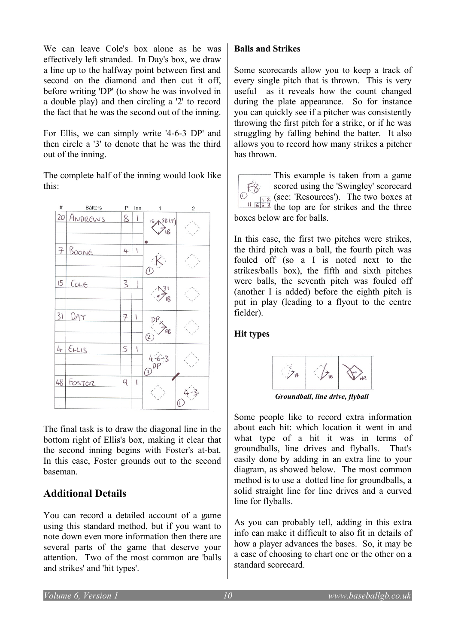We can leave Cole's box alone as he was effectively left stranded. In Day's box, we draw a line up to the halfway point between first and second on the diamond and then cut it off. before writing 'DP' (to show he was involved in a double play) and then circling a '2' to record the fact that he was the second out of the inning.

For Ellis, we can simply write '4-6-3 DP' and then circle a '3' to denote that he was the third out of the inning.

The complete half of the inning would look like this:



The final task is to draw the diagonal line in the bottom right of Ellis's box, making it clear that the second inning begins with Foster's at-bat. In this case, Foster grounds out to the second baseman.

## **Additional Details**

You can record a detailed account of a game using this standard method, but if you want to note down even more information then there are several parts of the game that deserve your attention. Two of the most common are 'balls and strikes' and 'hit types'.

### **Balls and Strikes**

Some scorecards allow you to keep a track of every single pitch that is thrown. This is very useful as it reveals how the count changed during the plate appearance. So for instance you can quickly see if a pitcher was consistently throwing the first pitch for a strike, or if he was struggling by falling behind the batter. It also allows you to record how many strikes a pitcher has thrown.

This example is taken from a game scored using the 'Swingley' scorecard  $FA$ (see: 'Resources'). The two boxes at  $\frac{12}{1653}$ the top are for strikes and the three boxes below are for balls.

In this case, the first two pitches were strikes, the third pitch was a ball, the fourth pitch was fouled off (so a I is noted next to the strikes/balls box), the fifth and sixth pitches were balls, the seventh pitch was fouled off (another I is added) before the eighth pitch is put in play (leading to a flyout to the centre fielder).

#### **Hit types**



*Groundball, line drive, flyball*

Some people like to record extra information about each hit: which location it went in and what type of a hit it was in terms of groundballs, line drives and flyballs. That's easily done by adding in an extra line to your diagram, as showed below. The most common method is to use a dotted line for groundballs, a solid straight line for line drives and a curved line for flyballs.

As you can probably tell, adding in this extra info can make it difficult to also fit in details of how a player advances the bases. So, it may be a case of choosing to chart one or the other on a standard scorecard.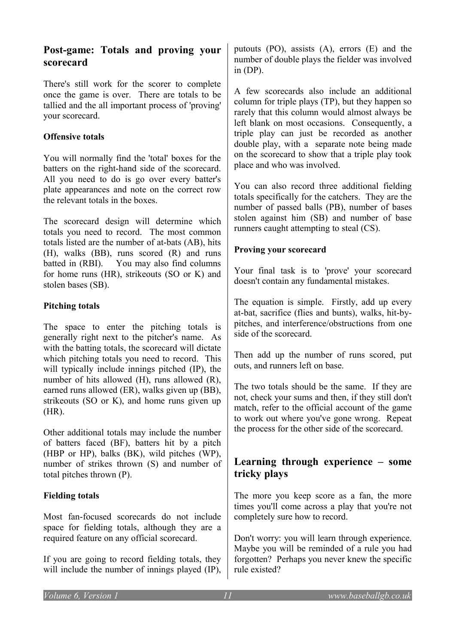## **Post-game: Totals and proving your scorecard**

There's still work for the scorer to complete once the game is over. There are totals to be tallied and the all important process of 'proving' your scorecard.

#### **Offensive totals**

You will normally find the 'total' boxes for the batters on the right-hand side of the scorecard. All you need to do is go over every batter's plate appearances and note on the correct row the relevant totals in the boxes.

The scorecard design will determine which totals you need to record. The most common totals listed are the number of at-bats (AB), hits (H), walks (BB), runs scored (R) and runs batted in (RBI). You may also find columns for home runs (HR), strikeouts (SO or K) and stolen bases (SB).

#### **Pitching totals**

The space to enter the pitching totals is generally right next to the pitcher's name. As with the batting totals, the scorecard will dictate which pitching totals you need to record. This will typically include innings pitched (IP), the number of hits allowed (H), runs allowed (R), earned runs allowed (ER), walks given up (BB), strikeouts (SO or K), and home runs given up (HR).

Other additional totals may include the number of batters faced (BF), batters hit by a pitch (HBP or HP), balks (BK), wild pitches (WP), number of strikes thrown (S) and number of total pitches thrown (P).

#### **Fielding totals**

Most fan-focused scorecards do not include space for fielding totals, although they are a required feature on any official scorecard.

If you are going to record fielding totals, they will include the number of innings played (IP),

putouts (PO), assists (A), errors (E) and the number of double plays the fielder was involved in  $(DP)$ .

A few scorecards also include an additional column for triple plays (TP), but they happen so rarely that this column would almost always be left blank on most occasions. Consequently, a triple play can just be recorded as another double play, with a separate note being made on the scorecard to show that a triple play took place and who was involved.

You can also record three additional fielding totals specifically for the catchers. They are the number of passed balls (PB), number of bases stolen against him (SB) and number of base runners caught attempting to steal (CS).

#### **Proving your scorecard**

Your final task is to 'prove' your scorecard doesn't contain any fundamental mistakes.

The equation is simple. Firstly, add up every at-bat, sacrifice (flies and bunts), walks, hit-bypitches, and interference/obstructions from one side of the scorecard.

Then add up the number of runs scored, put outs, and runners left on base.

The two totals should be the same. If they are not, check your sums and then, if they still don't match, refer to the official account of the game to work out where you've gone wrong. Repeat the process for the other side of the scorecard.

## **Learning through experience – some tricky plays**

The more you keep score as a fan, the more times you'll come across a play that you're not completely sure how to record.

Don't worry: you will learn through experience. Maybe you will be reminded of a rule you had forgotten? Perhaps you never knew the specific rule existed?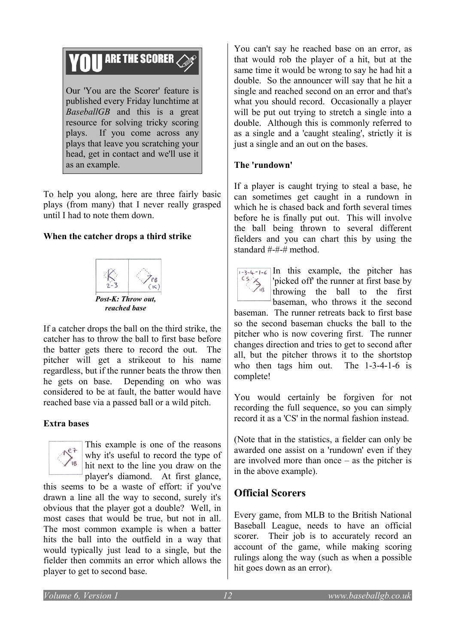# **THE SCORER 2**

Our 'You are the Scorer' feature is published every Friday lunchtime at *BaseballGB* and this is a great resource for solving tricky scoring plays. If you come across any plays that leave you scratching your head, get in contact and we'll use it as an example.

To help you along, here are three fairly basic plays (from many) that I never really grasped until I had to note them down.

#### **When the catcher drops a third strike**



If a catcher drops the ball on the third strike, the catcher has to throw the ball to first base before the batter gets there to record the out. The pitcher will get a strikeout to his name regardless, but if the runner beats the throw then he gets on base. Depending on who was considered to be at fault, the batter would have reached base via a passed ball or a wild pitch.

#### **Extra bases**



This example is one of the reasons why it's useful to record the type of hit next to the line you draw on the player's diamond. At first glance,

this seems to be a waste of effort: if you've drawn a line all the way to second, surely it's obvious that the player got a double? Well, in most cases that would be true, but not in all. The most common example is when a batter hits the ball into the outfield in a way that would typically just lead to a single, but the fielder then commits an error which allows the player to get to second base.

You can't say he reached base on an error, as that would rob the player of a hit, but at the same time it would be wrong to say he had hit a double. So the announcer will say that he hit a single and reached second on an error and that's what you should record. Occasionally a player will be put out trying to stretch a single into a double. Although this is commonly referred to as a single and a 'caught stealing', strictly it is just a single and an out on the bases.

#### **The 'rundown'**

If a player is caught trying to steal a base, he can sometimes get caught in a rundown in which he is chased back and forth several times before he is finally put out. This will involve the ball being thrown to several different fielders and you can chart this by using the standard #-#-# method.



 $\frac{1}{3}$  $\frac{1}{3}$  $\frac{1}{4}$  $\frac{1}{6}$  In this example, the pitcher has 'picked off' the runner at first base by throwing the ball to the first baseman, who throws it the second

baseman. The runner retreats back to first base so the second baseman chucks the ball to the pitcher who is now covering first. The runner changes direction and tries to get to second after all, but the pitcher throws it to the shortstop who then tags him out. The 1-3-4-1-6 is complete!

You would certainly be forgiven for not recording the full sequence, so you can simply record it as a 'CS' in the normal fashion instead.

(Note that in the statistics, a fielder can only be awarded one assist on a 'rundown' even if they are involved more than once – as the pitcher is in the above example).

## **Official Scorers**

Every game, from MLB to the British National Baseball League, needs to have an official scorer. Their job is to accurately record an account of the game, while making scoring rulings along the way (such as when a possible hit goes down as an error).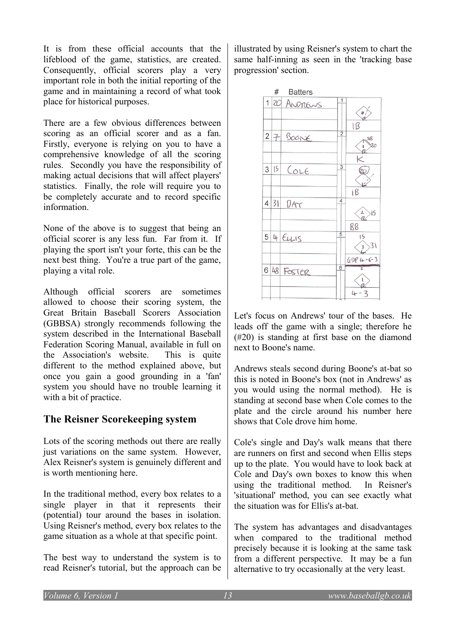It is from these official accounts that the lifeblood of the game, statistics, are created. Consequently, official scorers play a very important role in both the initial reporting of the game and in maintaining a record of what took place for historical purposes.

There are a few obvious differences between scoring as an official scorer and as a fan. Firstly, everyone is relying on you to have a comprehensive knowledge of all the scoring rules. Secondly you have the responsibility of making actual decisions that will affect players' statistics. Finally, the role will require you to be completely accurate and to record specific information.

None of the above is to suggest that being an official scorer is any less fun. Far from it. If playing the sport isn't your forte, this can be the next best thing. You're a true part of the game, playing a vital role.

Although official scorers are sometimes allowed to choose their scoring system, the Great Britain Baseball Scorers Association (GBBSA) strongly recommends following the system described in the International Baseball Federation Scoring Manual, available in full on the Association's website. This is quite different to the method explained above, but once you gain a good grounding in a 'fan' system you should have no trouble learning it with a bit of practice.

## **The Reisner Scorekeeping system**

Lots of the scoring methods out there are really just variations on the same system. However, Alex Reisner's system is genuinely different and is worth mentioning here.

In the traditional method, every box relates to a single player in that it represents their (potential) tour around the bases in isolation. Using Reisner's method, every box relates to the game situation as a whole at that specific point.

The best way to understand the system is to read Reisner's tutorial, but the approach can be

illustrated by using Reisner's system to chart the same half-inning as seen in the 'tracking base progression' section.



Let's focus on Andrews' tour of the bases. He leads off the game with a single; therefore he (#20) is standing at first base on the diamond next to Boone's name.

Andrews steals second during Boone's at-bat so this is noted in Boone's box (not in Andrews' as you would using the normal method). He is standing at second base when Cole comes to the plate and the circle around his number here shows that Cole drove him home.

Cole's single and Day's walk means that there are runners on first and second when Ellis steps up to the plate. You would have to look back at Cole and Day's own boxes to know this when using the traditional method. In Reisner's 'situational' method, you can see exactly what the situation was for Ellis's at-bat.

The system has advantages and disadvantages when compared to the traditional method precisely because it is looking at the same task from a different perspective. It may be a fun alternative to try occasionally at the very least.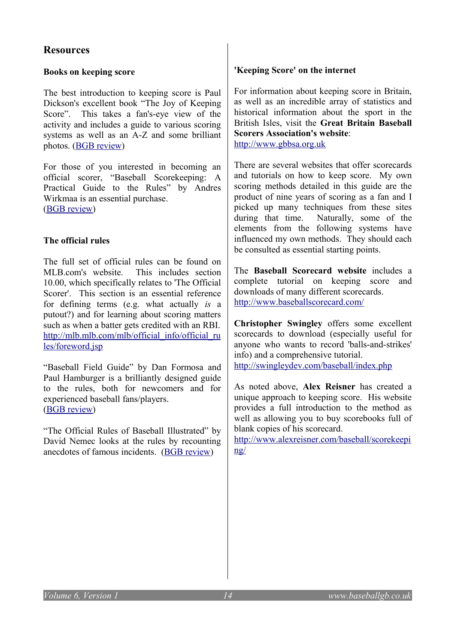## **Resources**

#### **Books on keeping score**

The best introduction to keeping score is Paul Dickson's excellent book "The Joy of Keeping Score". This takes a fan's-eye view of the activity and includes a guide to various scoring systems as well as an A-Z and some brilliant photos. [\(BGB review\)](http://www.baseballgb.co.uk/?p=288)

For those of you interested in becoming an official scorer, "Baseball Scorekeeping: A Practical Guide to the Rules" by Andres Wirkmaa is an essential purchase. (**BGB** review)

#### **The official rules**

The full set of official rules can be found on MLB.com's website. This includes section 10.00, which specifically relates to 'The Official Scorer'. This section is an essential reference for defining terms (e.g. what actually *is* a putout?) and for learning about scoring matters such as when a batter gets credited with an RBI. [http://mlb.mlb.com/mlb/official\\_info/official\\_ru](http://mlb.mlb.com/mlb/official_info/official_rules/foreword.jsp) [les/foreword.jsp](http://mlb.mlb.com/mlb/official_info/official_rules/foreword.jsp)

"Baseball Field Guide" by Dan Formosa and Paul Hamburger is a brilliantly designed guide to the rules, both for newcomers and for experienced baseball fans/players. [\(BGB review\)](http://www.baseballgb.co.uk/?p=295)

"The Official Rules of Baseball Illustrated" by David Nemec looks at the rules by recounting anecdotes of famous incidents. [\(BGB review\)](http://www.baseballgb.co.uk/?p=456)

#### **'Keeping Score' on the internet**

For information about keeping score in Britain, as well as an incredible array of statistics and historical information about the sport in the British Isles, visit the **Great Britain Baseball Scorers Association's website**: [http://www.gbbsa.org.uk](http://www.gbbsa.org.uk/)

There are several websites that offer scorecards and tutorials on how to keep score. My own scoring methods detailed in this guide are the product of nine years of scoring as a fan and I picked up many techniques from these sites during that time. Naturally, some of the elements from the following systems have influenced my own methods. They should each be consulted as essential starting points.

The **Baseball Scorecard website** includes a complete tutorial on keeping score and downloads of many different scorecards. <http://www.baseballscorecard.com/>

**Christopher Swingley** offers some excellent scorecards to download (especially useful for anyone who wants to record 'balls-and-strikes' info) and a comprehensive tutorial. <http://swingleydev.com/baseball/index.php>

As noted above, **Alex Reisner** has created a unique approach to keeping score. His website provides a full introduction to the method as well as allowing you to buy scorebooks full of blank copies of his scorecard.

[http://www.alexreisner.com/baseball/scorekeepi](http://www.alexreisner.com/baseball/scorekeeping/) [ng/](http://www.alexreisner.com/baseball/scorekeeping/)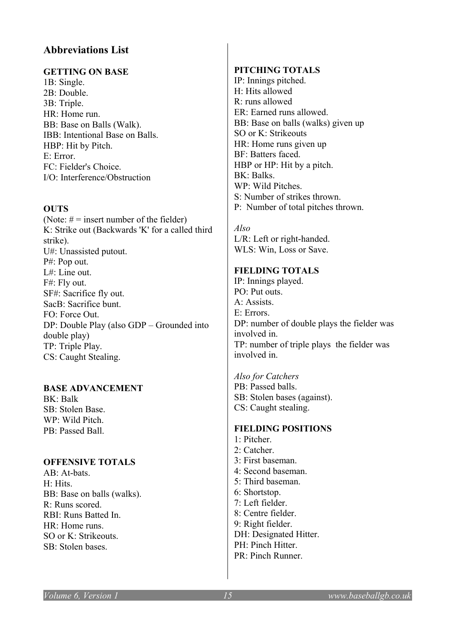### **Abbreviations List**

#### **GETTING ON BASE**

1B: Single. 2B: Double. 3B: Triple. HR: Home run. BB: Base on Balls (Walk). IBB: Intentional Base on Balls. HBP: Hit by Pitch. E: Error. FC: Fielder's Choice. I/O: Interference/Obstruction

#### **OUTS**

(Note:  $# =$  insert number of the fielder) K: Strike out (Backwards 'K' for a called third strike). U#: Unassisted putout. P#: Pop out. L#: Line out. F#: Fly out. SF#: Sacrifice fly out. SacB: Sacrifice bunt. FO: Force Out. DP: Double Play (also GDP – Grounded into double play) TP: Triple Play. CS: Caught Stealing.

#### **BASE ADVANCEMENT**

BK: Balk SB: Stolen Base. WP: Wild Pitch. PB: Passed Ball.

#### **OFFENSIVE TOTALS**

AB: At-bats. H: Hits. BB: Base on balls (walks). R: Runs scored. RBI: Runs Batted In. HR: Home runs. SO or K: Strikeouts. SB: Stolen bases.

#### **PITCHING TOTALS**

IP: Innings pitched. H: Hits allowed R: runs allowed ER: Earned runs allowed. BB: Base on balls (walks) given up SO or K: Strikeouts HR: Home runs given up BF: Batters faced. HBP or HP: Hit by a pitch. BK: Balks. WP: Wild Pitches. S: Number of strikes thrown. P: Number of total pitches thrown.

*Also* L/R: Left or right-handed. WLS: Win, Loss or Save.

#### **FIELDING TOTALS**

IP: Innings played. PO: Put outs. A: Assists. E: Errors. DP: number of double plays the fielder was involved in. TP: number of triple plays the fielder was involved in.

*Also for Catchers* PB: Passed balls. SB: Stolen bases (against). CS: Caught stealing.

#### **FIELDING POSITIONS**

1: Pitcher. 2: Catcher. 3: First baseman. 4: Second baseman. 5: Third baseman. 6: Shortstop. 7: Left fielder. 8: Centre fielder. 9: Right fielder. DH: Designated Hitter. PH: Pinch Hitter. PR: Pinch Runner.